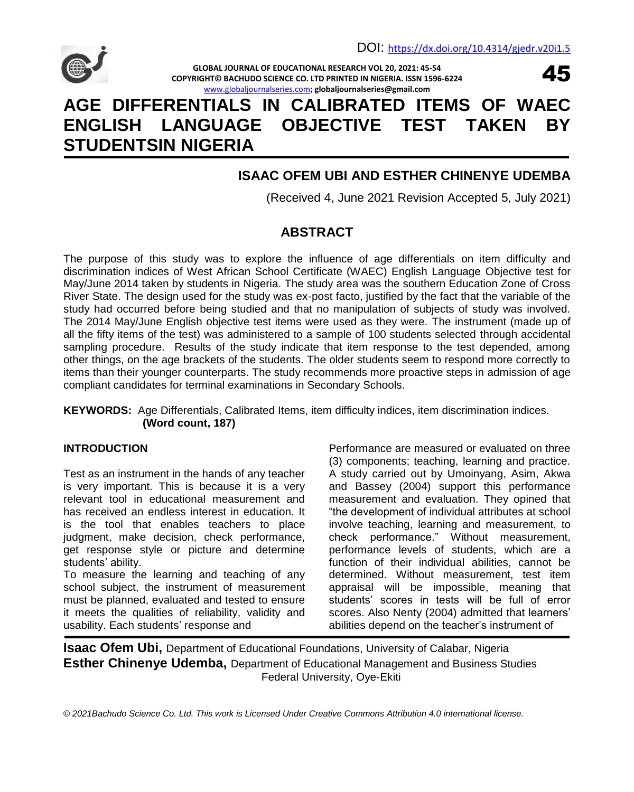

**GLOBAL JOURNAL OF EDUCATIONAL RESEARCH VOL 20, 2021: 45-54 COPYRIGHT© BACHUDO SCIENCE CO. LTD PRINTED IN NIGERIA. ISSN 1596-6224** [www.globaljournalseries.com](http://www.globaljournalseries.com/)**; globaljournalseries@gmail.com**



# **AGE DIFFERENTIALS IN CALIBRATED ITEMS OF WAEC ENGLISH LANGUAGE OBJECTIVE TEST TAKEN BY STUDENTSIN NIGERIA**

### **ISAAC OFEM UBI AND ESTHER CHINENYE UDEMBA**

(Received 4, June 2021 Revision Accepted 5, July 2021)

## **ABSTRACT**

The purpose of this study was to explore the influence of age differentials on item difficulty and discrimination indices of West African School Certificate (WAEC) English Language Objective test for May/June 2014 taken by students in Nigeria. The study area was the southern Education Zone of Cross River State. The design used for the study was ex-post facto, justified by the fact that the variable of the study had occurred before being studied and that no manipulation of subjects of study was involved. The 2014 May/June English objective test items were used as they were. The instrument (made up of all the fifty items of the test) was administered to a sample of 100 students selected through accidental sampling procedure. Results of the study indicate that item response to the test depended, among other things, on the age brackets of the students. The older students seem to respond more correctly to items than their younger counterparts. The study recommends more proactive steps in admission of age compliant candidates for terminal examinations in Secondary Schools.

#### **KEYWORDS:** Age Differentials, Calibrated Items, item difficulty indices, item discrimination indices. **(Word count, 187)**

#### **INTRODUCTION**

Test as an instrument in the hands of any teacher is very important. This is because it is a very relevant tool in educational measurement and has received an endless interest in education. It is the tool that enables teachers to place judgment, make decision, check performance, get response style or picture and determine students' ability.

To measure the learning and teaching of any school subject, the instrument of measurement must be planned, evaluated and tested to ensure it meets the qualities of reliability, validity and usability. Each students' response and

Performance are measured or evaluated on three (3) components; teaching, learning and practice. A study carried out by Umoinyang, Asim, Akwa and Bassey (2004) support this performance measurement and evaluation. They opined that "the development of individual attributes at school involve teaching, learning and measurement, to check performance." Without measurement, performance levels of students, which are a function of their individual abilities, cannot be determined. Without measurement, test item appraisal will be impossible, meaning that students" scores in tests will be full of error scores. Also Nenty (2004) admitted that learners" abilities depend on the teacher"s instrument of

**Isaac Ofem Ubi,** Department of Educational Foundations, University of Calabar, Nigeria **Esther Chinenye Udemba,** Department of Educational Management and Business Studies Federal University, Oye-Ekiti

*© 2021Bachudo Science Co. Ltd. This work is Licensed Under Creative Commons Attribution 4.0 international license.*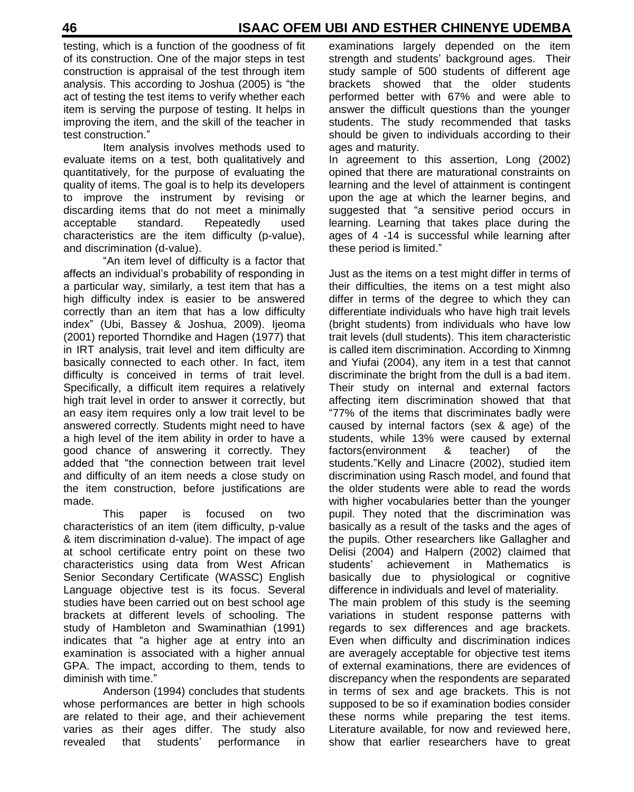testing, which is a function of the goodness of fit of its construction. One of the major steps in test construction is appraisal of the test through item analysis. This according to Joshua (2005) is "the act of testing the test items to verify whether each item is serving the purpose of testing. It helps in improving the item, and the skill of the teacher in test construction."

Item analysis involves methods used to evaluate items on a test, both qualitatively and quantitatively, for the purpose of evaluating the quality of items. The goal is to help its developers to improve the instrument by revising or discarding items that do not meet a minimally acceptable standard. Repeatedly used characteristics are the item difficulty (p-value), and discrimination (d-value).

"An item level of difficulty is a factor that affects an individual"s probability of responding in a particular way, similarly, a test item that has a high difficulty index is easier to be answered correctly than an item that has a low difficulty index" (Ubi, Bassey & Joshua, 2009). Ijeoma (2001) reported Thorndike and Hagen (1977) that in IRT analysis, trait level and item difficulty are basically connected to each other. In fact, item difficulty is conceived in terms of trait level. Specifically, a difficult item requires a relatively high trait level in order to answer it correctly, but an easy item requires only a low trait level to be answered correctly. Students might need to have a high level of the item ability in order to have a good chance of answering it correctly. They added that "the connection between trait level and difficulty of an item needs a close study on the item construction, before justifications are made.

This paper is focused on two characteristics of an item (item difficulty, p-value & item discrimination d-value). The impact of age at school certificate entry point on these two characteristics using data from West African Senior Secondary Certificate (WASSC) English Language objective test is its focus. Several studies have been carried out on best school age brackets at different levels of schooling. The study of Hambleton and Swaminathian (1991) indicates that "a higher age at entry into an examination is associated with a higher annual GPA. The impact, according to them, tends to diminish with time."

Anderson (1994) concludes that students whose performances are better in high schools are related to their age, and their achievement varies as their ages differ. The study also revealed that students" performance in

examinations largely depended on the item strength and students' background ages. Their study sample of 500 students of different age brackets showed that the older students performed better with 67% and were able to answer the difficult questions than the younger students. The study recommended that tasks should be given to individuals according to their ages and maturity.

In agreement to this assertion, Long (2002) opined that there are maturational constraints on learning and the level of attainment is contingent upon the age at which the learner begins, and suggested that "a sensitive period occurs in learning. Learning that takes place during the ages of 4 -14 is successful while learning after these period is limited."

Just as the items on a test might differ in terms of their difficulties, the items on a test might also differ in terms of the degree to which they can differentiate individuals who have high trait levels (bright students) from individuals who have low trait levels (dull students). This item characteristic is called item discrimination. According to Xinmng and Yiufai (2004), any item in a test that cannot discriminate the bright from the dull is a bad item. Their study on internal and external factors affecting item discrimination showed that that "77% of the items that discriminates badly were caused by internal factors (sex & age) of the students, while 13% were caused by external factors(environment & teacher) of the students."Kelly and Linacre (2002), studied item discrimination using Rasch model, and found that the older students were able to read the words with higher vocabularies better than the younger pupil. They noted that the discrimination was basically as a result of the tasks and the ages of the pupils. Other researchers like Gallagher and Delisi (2004) and Halpern (2002) claimed that students" achievement in Mathematics is basically due to physiological or cognitive difference in individuals and level of materiality. The main problem of this study is the seeming

variations in student response patterns with regards to sex differences and age brackets. Even when difficulty and discrimination indices are averagely acceptable for objective test items of external examinations, there are evidences of discrepancy when the respondents are separated in terms of sex and age brackets. This is not supposed to be so if examination bodies consider these norms while preparing the test items. Literature available, for now and reviewed here, show that earlier researchers have to great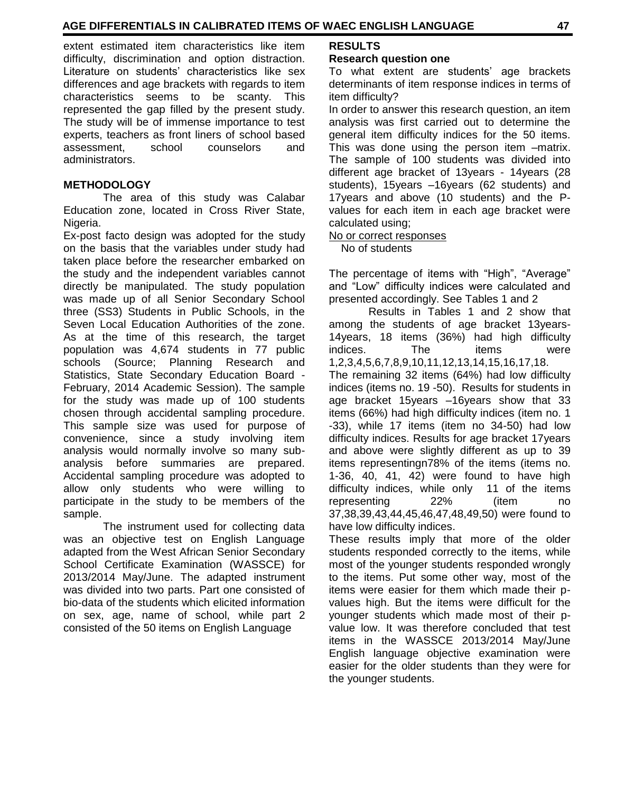extent estimated item characteristics like item difficulty, discrimination and option distraction. Literature on students' characteristics like sex differences and age brackets with regards to item characteristics seems to be scanty. This represented the gap filled by the present study. The study will be of immense importance to test experts, teachers as front liners of school based assessment, school counselors and administrators.

#### **METHODOLOGY**

The area of this study was Calabar Education zone, located in Cross River State, Nigeria.

Ex-post facto design was adopted for the study on the basis that the variables under study had taken place before the researcher embarked on the study and the independent variables cannot directly be manipulated. The study population was made up of all Senior Secondary School three (SS3) Students in Public Schools, in the Seven Local Education Authorities of the zone. As at the time of this research, the target population was 4,674 students in 77 public schools (Source; Planning Research and Statistics, State Secondary Education Board - February, 2014 Academic Session). The sample for the study was made up of 100 students chosen through accidental sampling procedure. This sample size was used for purpose of convenience, since a study involving item analysis would normally involve so many subanalysis before summaries are prepared. Accidental sampling procedure was adopted to allow only students who were willing to participate in the study to be members of the sample.

The instrument used for collecting data was an objective test on English Language adapted from the West African Senior Secondary School Certificate Examination (WASSCE) for 2013/2014 May/June. The adapted instrument was divided into two parts. Part one consisted of bio-data of the students which elicited information on sex, age, name of school, while part 2 consisted of the 50 items on English Language

#### **RESULTS**

#### **Research question one**

To what extent are students" age brackets determinants of item response indices in terms of item difficulty?

In order to answer this research question, an item analysis was first carried out to determine the general item difficulty indices for the 50 items. This was done using the person item –matrix. The sample of 100 students was divided into different age bracket of 13years - 14years (28 students), 15years –16years (62 students) and 17years and above (10 students) and the Pvalues for each item in each age bracket were calculated using;

#### No or correct responses

No of students

The percentage of items with "High", "Average" and "Low" difficulty indices were calculated and presented accordingly. See Tables 1 and 2

Results in Tables 1 and 2 show that among the students of age bracket 13years-14years, 18 items (36%) had high difficulty indices. The items were 1,2,3,4,5,6,7,8,9,10,11,12,13,14,15,16,17,18. The remaining 32 items (64%) had low difficulty indices (items no. 19 -50). Results for students in age bracket 15years –16years show that 33 items (66%) had high difficulty indices (item no. 1 -33), while 17 items (item no 34-50) had low difficulty indices. Results for age bracket 17years and above were slightly different as up to 39 items representingn78% of the items (items no. 1-36, 40, 41, 42) were found to have high difficulty indices, while only 11 of the items representing 22% (item no 37,38,39,43,44,45,46,47,48,49,50) were found to have low difficulty indices.

These results imply that more of the older students responded correctly to the items, while most of the younger students responded wrongly to the items. Put some other way, most of the items were easier for them which made their pvalues high. But the items were difficult for the younger students which made most of their pvalue low. It was therefore concluded that test items in the WASSCE 2013/2014 May/June English language objective examination were easier for the older students than they were for the younger students.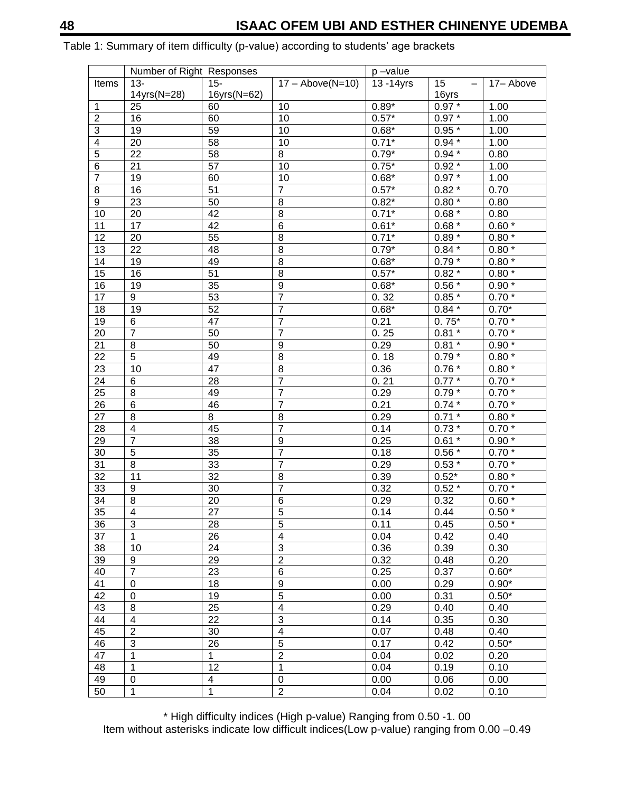|                 | Number of Right Responses |                         |                           | p-value    |          |                   |
|-----------------|---------------------------|-------------------------|---------------------------|------------|----------|-------------------|
| Items           | 13-                       | 15-                     | $17 - \text{Above(N=10)}$ | 13 - 14yrs | 15       | 17– Above         |
|                 | 14yrs(N=28)               | 16yrs(N=62)             |                           |            | 16yrs    |                   |
| 1               | 25                        | 60                      | 10                        | $0.89*$    | $0.97*$  | 1.00              |
| $\overline{2}$  | 16                        | 60                      | 10                        | $0.57*$    | $0.97*$  | 1.00              |
| 3               | 19                        | 59                      | 10                        | $0.68*$    | $0.95*$  | 1.00              |
| $\overline{4}$  | 20                        | 58                      | 10                        | $0.71*$    | $0.94*$  | 1.00              |
| $\overline{5}$  | 22                        | 58                      | 8                         | $0.79*$    | $0.94*$  | 0.80              |
| $\,6$           | 21                        | 57                      | 10                        | $0.75*$    | $0.92 *$ | 1.00              |
| 7               | 19                        | 60                      | 10                        | $0.68*$    | $0.97 *$ | 1.00              |
| 8               | 16                        | 51                      | 7                         | $0.57*$    | $0.82 *$ | 0.70              |
| 9               | 23                        | 50                      | 8                         | $0.82*$    | $0.80*$  | 0.80              |
| 10              | 20                        | 42                      | $\overline{8}$            | $0.71*$    | $0.68*$  | 0.80              |
| 11              | 17                        | 42                      | 6                         | $0.61*$    | $0.68*$  | $0.60*$           |
| $\overline{12}$ | 20                        | 55                      | 8                         | $0.71*$    | $0.89*$  | $0.80*$           |
| 13              | 22                        | 48                      | 8                         | $0.79*$    | $0.84*$  | $0.80*$           |
| 14              | 19                        | 49                      | 8                         | $0.68*$    | $0.79 *$ | $0.80$ $^{\star}$ |
| 15              | 16                        | 51                      | 8                         | $0.57*$    | $0.82 *$ | $0.80$ $^{\star}$ |
| 16              | 19                        | 35                      | $\boldsymbol{9}$          | $0.68*$    | $0.56*$  | $0.90*$           |
| 17              | 9                         | 53                      | $\overline{7}$            | 0.32       | $0.85 *$ | $0.70*$           |
| 18              | 19                        | 52                      | 7                         | $0.68*$    | $0.84*$  | $0.70*$           |
| 19              | 6                         | 47                      | $\overline{7}$            | 0.21       | $0.75*$  | $0.70*$           |
| 20              | 7                         | 50                      | 7                         | 0.25       | $0.81 *$ | $0.70*$           |
| 21              | 8                         | 50                      | 9                         | 0.29       | $0.81 *$ | $0.90*$           |
| 22              | 5                         | 49                      | 8                         | 0.18       | $0.79*$  | $0.80*$           |
| 23              | 10                        | 47                      | 8                         | 0.36       | $0.76*$  | $0.80*$           |
| 24              | 6                         | 28                      | 7                         | 0.21       | $0.77*$  | $0.70*$           |
| 25              | 8                         | 49                      | 7                         | 0.29       | $0.79*$  | $0.70*$           |
| 26              | 6                         | 46                      | 7                         | 0.21       | $0.74*$  | $0.70*$           |
| $\overline{27}$ | 8                         | $\overline{8}$          | 8                         | 0.29       | $0.71 *$ | $0.80*$           |
| 28              | $\overline{\mathbf{4}}$   | 45                      | $\overline{7}$            | 0.14       | $0.73*$  | $0.70*$           |
| 29              | 7                         | 38                      | 9                         | 0.25       | $0.61 *$ | $0.90*$           |
| 30              | 5                         | 35                      | $\overline{7}$            | 0.18       | $0.56*$  | $0.70*$           |
| 31              | $\overline{8}$            | 33                      | 7                         | 0.29       | $0.53*$  | $0.70*$           |
| 32              | 11                        | 32                      | 8                         | 0.39       | $0.52*$  | $0.80*$           |
| 33              | 9                         | 30                      | 7                         | 0.32       | $0.52 *$ | $0.70*$           |
| 34              | 8                         | 20                      | 6                         | 0.29       | 0.32     | $0.60$ $^{\star}$ |
| 35              | 4                         | 27                      | 5                         | 0.14       | 0.44     | $0.50*$           |
| 36              | 3                         | 28                      | $\overline{5}$            | 0.11       | 0.45     | $0.50*$           |
| 37              | 1                         | 26                      | 4                         | 0.04       | 0.42     | 0.40              |
| $\overline{38}$ | 10                        | $\overline{24}$         | 3                         | 0.36       | 0.39     | 0.30              |
| 39              | 9                         | 29                      | $\overline{\mathbf{c}}$   | 0.32       | 0.48     | 0.20              |
| 40              | $\overline{7}$            | 23                      | $\overline{6}$            | 0.25       | 0.37     | $0.60*$           |
| 41              | 0                         | 18                      | 9                         | 0.00       | 0.29     | $0.90*$           |
| 42              | 0                         | 19                      | $\overline{5}$            | 0.00       | 0.31     | $0.50*$           |
| 43              | 8                         | 25                      | $\overline{4}$            | 0.29       | 0.40     | 0.40              |
| 44              | $\overline{\mathbf{4}}$   | 22                      | $\overline{3}$            | 0.14       | 0.35     | 0.30              |
| 45              | $\overline{c}$            | $30\,$                  | 4                         |            |          | 0.40              |
| 46              | $\overline{3}$            |                         | $\overline{5}$            | 0.07       | 0.48     |                   |
|                 |                           | 26<br>$\mathbf{1}$      | $\overline{2}$            | 0.17       | 0.42     | $0.50*$           |
| 47              | 1                         | $\overline{12}$         |                           | 0.04       | 0.02     | 0.20              |
| 48              | $\mathbf 1$               |                         | $\mathbf 1$               | 0.04       | 0.19     | 0.10              |
| 49              | $\mathbf 0$               | $\overline{\mathbf{4}}$ | $\mathbf 0$               | 0.00       | 0.06     | 0.00              |
| 50              | 1                         | $\mathbf{1}$            | $\overline{c}$            | 0.04       | 0.02     | 0.10              |

Table 1: Summary of item difficulty (p-value) according to students' age brackets

\* High difficulty indices (High p-value) Ranging from 0.50 -1. 00 Item without asterisks indicate low difficult indices(Low p-value) ranging from 0.00 –0.49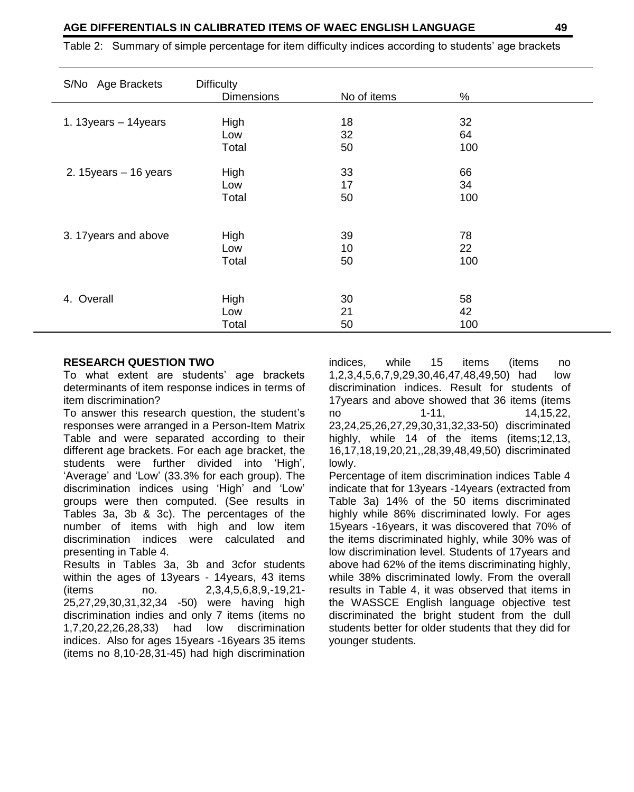Table 2: Summary of simple percentage for item difficulty indices according to students" age brackets

| S/No Age Brackets        | <b>Difficulty</b><br><b>Dimensions</b> | No of items | $\%$ |  |
|--------------------------|----------------------------------------|-------------|------|--|
|                          |                                        |             |      |  |
| 1. 13 years $-14$ years  | High                                   | 18          | 32   |  |
|                          | Low                                    | 32          | 64   |  |
|                          | Total                                  | 50          | 100  |  |
|                          |                                        |             |      |  |
| 2. 15 years $-$ 16 years | High                                   | 33          | 66   |  |
|                          | Low                                    | 17          | 34   |  |
|                          | Total                                  | 50          | 100  |  |
|                          |                                        |             |      |  |
| 3. 17 years and above    | High                                   | 39          | 78   |  |
|                          | Low                                    | 10          | 22   |  |
|                          | Total                                  | 50          | 100  |  |
|                          |                                        |             |      |  |
|                          |                                        |             |      |  |
| Overall<br>4.            | High                                   | 30          | 58   |  |
|                          | Low                                    | 21          | 42   |  |
|                          | Total                                  | 50          | 100  |  |

#### **RESEARCH QUESTION TWO**

To what extent are students" age brackets determinants of item response indices in terms of item discrimination?

To answer this research question, the student"s responses were arranged in a Person-Item Matrix Table and were separated according to their different age brackets. For each age bracket, the students were further divided into "High", 'Average' and 'Low' (33.3% for each group). The discrimination indices using "High" and "Low" groups were then computed. (See results in Tables 3a, 3b & 3c). The percentages of the number of items with high and low item discrimination indices were calculated and presenting in Table 4.

Results in Tables 3a, 3b and 3cfor students within the ages of 13years - 14years, 43 items (items no. 2,3,4,5,6,8,9,-19,21- 25,27,29,30,31,32,34 -50) were having high discrimination indies and only 7 items (items no 1,7,20,22,26,28,33) had low discrimination indices. Also for ages 15years -16years 35 items (items no 8,10-28,31-45) had high discrimination

indices, while 15 items (items no 1,2,3,4,5,6,7,9,29,30,46,47,48,49,50) had low discrimination indices. Result for students of 17years and above showed that 36 items (items no 1-11, 14,15,22, 23,24,25,26,27,29,30,31,32,33-50) discriminated highly, while 14 of the items (items;12,13, 16,17,18,19,20,21,,28,39,48,49,50) discriminated lowly.

Percentage of item discrimination indices Table 4 indicate that for 13years -14years (extracted from Table 3a) 14% of the 50 items discriminated highly while 86% discriminated lowly. For ages 15years -16years, it was discovered that 70% of the items discriminated highly, while 30% was of low discrimination level. Students of 17years and above had 62% of the items discriminating highly, while 38% discriminated lowly. From the overall results in Table 4, it was observed that items in the WASSCE English language objective test discriminated the bright student from the dull students better for older students that they did for younger students.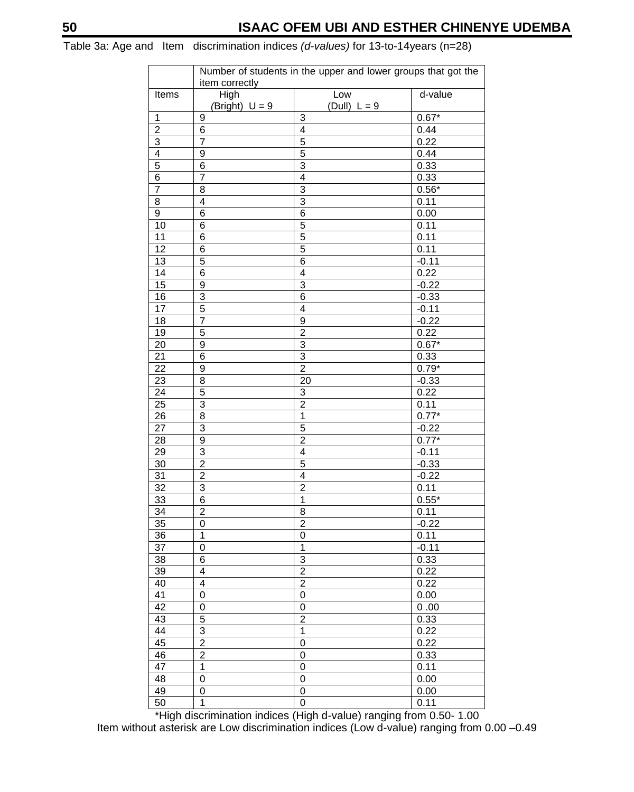Table 3a: Age and Item discrimination indices *(d-values)* for 13-to-14years (n=28)

|                         | Number of students in the upper and lower groups that got the |                           |         |  |  |
|-------------------------|---------------------------------------------------------------|---------------------------|---------|--|--|
|                         | item correctly                                                | Low                       | d-value |  |  |
| Items                   | High                                                          | (Dull) $L = 9$            |         |  |  |
| $\mathbf{1}$            | (Bright) $U = 9$<br>9                                         | $\mathbf{3}$              | $0.67*$ |  |  |
|                         |                                                               |                           |         |  |  |
| $\overline{\mathbf{c}}$ | 6                                                             | 4                         | 0.44    |  |  |
| $\overline{3}$          | $\overline{7}$                                                | 5                         | 0.22    |  |  |
| $\overline{4}$          | 9                                                             | 5                         | 0.44    |  |  |
| $\overline{5}$          | 6                                                             | 3                         | 0.33    |  |  |
| 6                       | 7                                                             | 4                         | 0.33    |  |  |
| $\overline{7}$          | 8                                                             | 3                         | $0.56*$ |  |  |
| 8                       | 4                                                             | 3                         | 0.11    |  |  |
| 9                       | 6                                                             | 6                         | 0.00    |  |  |
| 10                      | 6                                                             | 5                         | 0.11    |  |  |
| 11                      | 6                                                             | 5                         | 0.11    |  |  |
| 12                      | 6                                                             | 5                         | 0.11    |  |  |
| 13                      | 5                                                             | 6                         | $-0.11$ |  |  |
| 14                      | 6                                                             | 4                         | 0.22    |  |  |
| 15                      | 9                                                             | 3                         | $-0.22$ |  |  |
| 16                      | $\overline{3}$                                                | $6\phantom{1}6$           | $-0.33$ |  |  |
| 17                      | 5                                                             | $\overline{4}$            | $-0.11$ |  |  |
| 18                      | 7                                                             | 9                         | $-0.22$ |  |  |
| 19                      | 5                                                             | $\overline{c}$            | 0.22    |  |  |
| 20                      | $\overline{9}$                                                | $\overline{3}$            | $0.67*$ |  |  |
| 21                      | 6                                                             | $\ensuremath{\mathsf{3}}$ | 0.33    |  |  |
| $\overline{22}$         | $\mathsf g$                                                   | $\overline{2}$            | $0.79*$ |  |  |
| 23                      | 8                                                             | 20                        | $-0.33$ |  |  |
| 24                      | 5                                                             | 3                         | 0.22    |  |  |
| 25                      | 3                                                             | $\overline{c}$            | 0.11    |  |  |
| 26                      | 8                                                             | $\mathbf{1}$              | $0.77*$ |  |  |
| 27                      | 3                                                             | 5                         | $-0.22$ |  |  |
| 28                      | 9                                                             | $\overline{\mathbf{c}}$   | $0.77*$ |  |  |
| 29                      | 3                                                             | 4                         | $-0.11$ |  |  |
| 30                      | $\overline{c}$                                                | 5                         | $-0.33$ |  |  |
| 31                      | $\overline{\mathbf{c}}$                                       | $\overline{4}$            | $-0.22$ |  |  |
| 32                      | 3                                                             | $\overline{c}$            | 0.11    |  |  |
| 33                      | 6                                                             | 1                         | $0.55*$ |  |  |
| 34                      | $\overline{\mathbf{c}}$                                       | 8                         | 0.11    |  |  |
| 35                      | 0                                                             | $\overline{c}$            | $-0.22$ |  |  |
| 36                      | $\mathbf{1}$                                                  | 0                         | 0.11    |  |  |
| 37                      | 0                                                             | $\mathbf{1}$              | $-0.11$ |  |  |
| 38                      | 6                                                             | 3                         | 0.33    |  |  |
| 39                      | 4                                                             | $\overline{2}$            | 0.22    |  |  |
| 40                      | 4                                                             | $\overline{2}$            | 0.22    |  |  |
| 41                      | 0                                                             | 0                         | 0.00    |  |  |
| 42                      |                                                               |                           | 0.00    |  |  |
| 43                      | 0<br>5                                                        | 0<br>$\overline{c}$       | 0.33    |  |  |
|                         |                                                               |                           |         |  |  |
| 44                      | 3                                                             | 1                         | 0.22    |  |  |
| 45                      | $\overline{\mathbf{c}}$                                       | 0                         | 0.22    |  |  |
| 46                      | $\overline{2}$                                                | $\mathbf 0$               | 0.33    |  |  |
| 47                      | $\overline{1}$                                                | $\mathbf 0$               | 0.11    |  |  |
| $\overline{48}$         | $\overline{0}$                                                | $\mathbf 0$               | 0.00    |  |  |
| 49                      | 0                                                             | $\pmb{0}$                 | 0.00    |  |  |
| 50                      | 1                                                             | 0                         | 0.11    |  |  |

\*High discrimination indices (High d-value) ranging from 0.50- 1.00 Item without asterisk are Low discrimination indices (Low d-value) ranging from 0.00 –0.49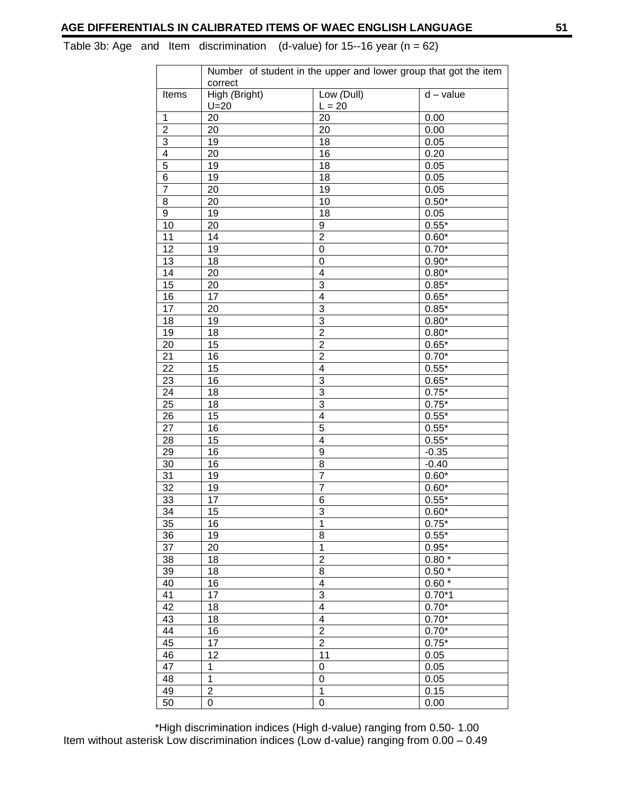Table 3b: Age and Item discrimination (d-value) for 15--16 year ( $n = 62$ )

|                 | Number of student in the upper and lower group that got the item |                         |             |  |
|-----------------|------------------------------------------------------------------|-------------------------|-------------|--|
| Items           | correct<br>High (Bright)                                         | Low (Dull)              | $d - value$ |  |
|                 | $U=20$                                                           | $L = 20$                |             |  |
| 1               | 20                                                               | 20                      | 0.00        |  |
| $\overline{2}$  | 20                                                               | 20                      | 0.00        |  |
| $\overline{3}$  | 19                                                               | $\overline{18}$         | 0.05        |  |
| $\overline{4}$  | 20                                                               | 16                      | 0.20        |  |
| 5               | 19                                                               | 18                      | 0.05        |  |
| 6               | 19                                                               | 18                      | 0.05        |  |
| 7               | 20                                                               | 19                      | 0.05        |  |
| 8               | 20                                                               | 10                      | $0.50*$     |  |
| 9               | 19                                                               | 18                      | 0.05        |  |
| 10              | 20                                                               | $\overline{9}$          | $0.55*$     |  |
| 11              | 14                                                               | $\overline{2}$          | $0.60*$     |  |
| 12              | 19                                                               | 0                       | $0.70*$     |  |
| 13              | 18                                                               | 0                       | $0.90*$     |  |
| 14              | 20                                                               | $\overline{4}$          | $0.80*$     |  |
| $\overline{15}$ | 20                                                               | 3                       | $0.85*$     |  |
| 16              | 17                                                               | $\overline{4}$          | $0.65*$     |  |
| 17              | 20                                                               | 3                       | $0.85*$     |  |
| 18              | 19                                                               | $\overline{3}$          | $0.80*$     |  |
| 19              | 18                                                               | $\overline{2}$          | $0.80*$     |  |
| 20              | 15                                                               | $\overline{2}$          | $0.65*$     |  |
| $\overline{21}$ | 16                                                               | $\overline{2}$          | $0.70*$     |  |
| 22              | 15                                                               | $\overline{\mathbf{4}}$ | $0.55*$     |  |
| 23              | 16                                                               | 3                       | $0.65*$     |  |
| 24              | 18                                                               | $\overline{3}$          | $0.75*$     |  |
| 25              | 18                                                               | $\overline{3}$          | $0.75*$     |  |
| 26              | 15                                                               | $\overline{4}$          | $0.55*$     |  |
| $\overline{27}$ | 16                                                               | 5                       | $0.55*$     |  |
| 28              | 15                                                               | $\overline{4}$          | $0.55*$     |  |
| 29              | 16                                                               | $\boldsymbol{9}$        | $-0.35$     |  |
| 30              | 16                                                               | 8                       | $-0.40$     |  |
| 31              | 19                                                               | $\overline{7}$          | $0.60*$     |  |
| $\overline{32}$ | 19                                                               | $\overline{7}$          | $0.60*$     |  |
| 33              | 17                                                               | 6                       | $0.55*$     |  |
| 34              | 15                                                               | 3                       | $0.60*$     |  |
| 35              | 16                                                               | $\overline{1}$          | $0.75*$     |  |
| 36              | 19                                                               | 8                       | $0.55*$     |  |
| 37              | 20                                                               | 1                       | $0.95*$     |  |
| 38              | 18                                                               | $\overline{\mathbf{c}}$ | $0.80*$     |  |
| 39              | 18                                                               | $\overline{8}$          | $0.50*$     |  |
| 40              | 16                                                               | $\overline{4}$          | $0.60*$     |  |
| 41              | 17                                                               | 3                       | $0.70*1$    |  |
| 42              | 18                                                               | $\overline{4}$          | $0.70*$     |  |
| 43              | 18                                                               | 4                       | $0.70*$     |  |
| 44              | 16                                                               | $\overline{2}$          | $0.70*$     |  |
| 45              | 17                                                               | $\overline{2}$          | $0.75*$     |  |
| 46              | 12                                                               | 11                      | 0.05        |  |
| $\overline{47}$ | $\overline{1}$                                                   | $\overline{0}$          | 0.05        |  |
| 48              | 1                                                                | $\boldsymbol{0}$        | 0.05        |  |
| 49              | $\overline{c}$                                                   | $\mathbf{1}$            | 0.15        |  |
| 50              | 0                                                                | 0                       | 0.00        |  |

\*High discrimination indices (High d-value) ranging from 0.50- 1.00 Item without asterisk Low discrimination indices (Low d-value) ranging from 0.00 – 0.49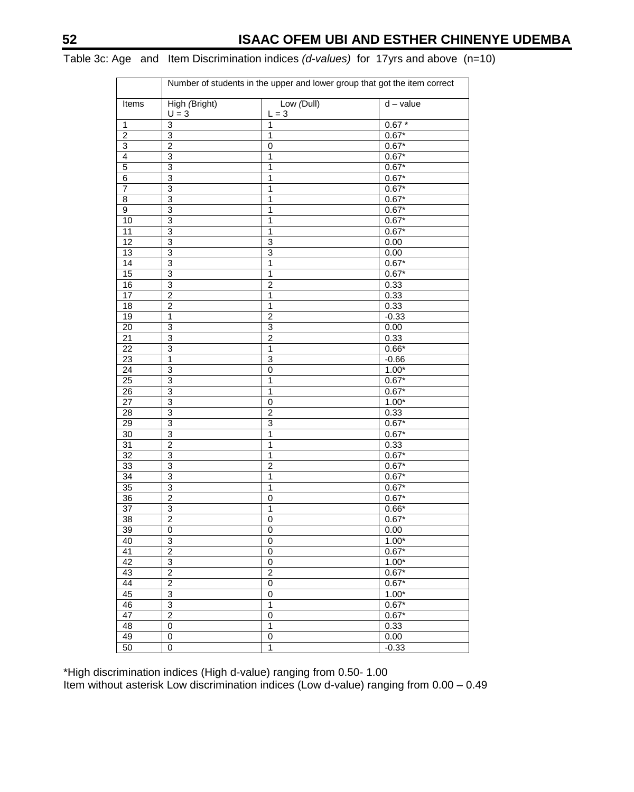|                 |                          | Number of students in the upper and lower group that got the item correct |                    |
|-----------------|--------------------------|---------------------------------------------------------------------------|--------------------|
| Items           | High (Bright)<br>$U = 3$ | Low (Dull)<br>$L = 3$                                                     | $d - value$        |
| 1               | $\overline{3}$           | 1                                                                         | $0.67*$            |
| $\overline{2}$  | $\overline{3}$           | $\mathbf{1}$                                                              | $0.67*$            |
| $\overline{3}$  | $\overline{2}$           | $\mathbf 0$                                                               | $0.67*$            |
| $\overline{4}$  | $\overline{3}$           | $\overline{1}$                                                            | $0.67*$            |
| 5               | $\overline{3}$           | 1                                                                         | $0.67*$            |
| $\overline{6}$  | $\overline{3}$           | 1                                                                         | $0.67*$            |
| 7               | $\overline{3}$           | 1                                                                         | $0.67*$            |
|                 | 3                        | 1                                                                         | $0.67*$            |
| 8<br>9          | $\overline{3}$           | 1                                                                         | $0.67*$            |
|                 |                          |                                                                           |                    |
| 10<br>11        | 3<br>$\overline{3}$      | 1<br>1                                                                    | $0.67*$<br>$0.67*$ |
| 12              |                          |                                                                           |                    |
|                 | 3                        | 3                                                                         | 0.00               |
| 13              | 3                        | 3                                                                         | 0.00               |
| $\overline{14}$ | 3                        | 1                                                                         | $0.67*$            |
| 15              | 3                        | $\mathbf{1}$                                                              | $0.67*$            |
| 16              | 3                        | $\overline{2}$                                                            | 0.33               |
| 17              | $\overline{2}$           | $\mathbf{1}$                                                              | 0.33               |
| 18              | $\overline{\mathbf{c}}$  | 1                                                                         | 0.33               |
| 19              | $\overline{1}$           | $\overline{2}$                                                            | $-0.33$            |
| $\overline{20}$ | $\overline{3}$           | $\overline{3}$                                                            | 0.00               |
| 21              | $\overline{3}$           | $\overline{2}$                                                            | 0.33               |
| 22              | 3                        | $\overline{1}$                                                            | $0.66*$            |
| $\overline{23}$ | $\mathbf{1}$             | $\overline{3}$                                                            | $-0.66$            |
| 24              | 3                        | 0                                                                         | $1.00*$            |
| 25              | 3                        | 1                                                                         | $0.67*$            |
| 26              | 3                        | 1                                                                         | $0.67*$            |
| 27              | 3                        | 0                                                                         | $1.00*$            |
| 28              | 3                        | $\overline{2}$                                                            | 0.33               |
| 29              | 3                        | 3                                                                         | $0.67*$            |
| 30              | $\overline{3}$           | $\overline{1}$                                                            | $0.67*$            |
| 31              | $\overline{\mathbf{c}}$  | 1                                                                         | 0.33               |
| $\overline{32}$ | $\overline{3}$           | 1                                                                         | $0.67*$            |
| 33              | $\overline{3}$           | $\overline{2}$                                                            | $0.67*$            |
| 34              | $\overline{3}$           | 1                                                                         | $0.67*$            |
| 35              | 3                        | $\overline{1}$                                                            | $0.67*$            |
| $\overline{36}$ | $\overline{2}$           | $\mathbf 0$                                                               | $0.67*$            |
| $\overline{37}$ | 3                        | $\overline{1}$                                                            | $0.66*$            |
| 38              | $\overline{2}$           | $\mathbf 0$                                                               | $0.67*$            |
| 39              | $\pmb{0}$                | 0                                                                         | 0.00               |
| 40              | 3                        | $\overline{0}$                                                            | $1.00*$            |
| 41              | $\overline{2}$           | $\pmb{0}$                                                                 | $0.67*$            |
| 42              | 3                        | 0                                                                         | $1.00*$            |
| 43              | $\overline{c}$           | $\overline{\mathbf{c}}$                                                   | $0.67*$            |
| 44              | $\overline{2}$           | 0                                                                         | $0.67*$            |
| 45              | $\overline{3}$           | 0                                                                         | $1.00*$            |
| 46              | 3                        | $\overline{\mathbf{1}}$                                                   | $0.67*$            |
| 47              | $\overline{2}$           | $\overline{0}$                                                            |                    |
| 48              | $\overline{0}$           | $\overline{1}$                                                            | $0.67*$<br>0.33    |
|                 |                          |                                                                           |                    |
| 49              | $\mathbf 0$              | $\pmb{0}$                                                                 | 0.00               |
| 50              | $\overline{0}$           | 1                                                                         | $-0.33$            |

### Table 3c: Age and Item Discrimination indices *(d-values)* for 17yrs and above (n=10)

\*High discrimination indices (High d-value) ranging from 0.50- 1.00 Item without asterisk Low discrimination indices (Low d-value) ranging from 0.00 – 0.49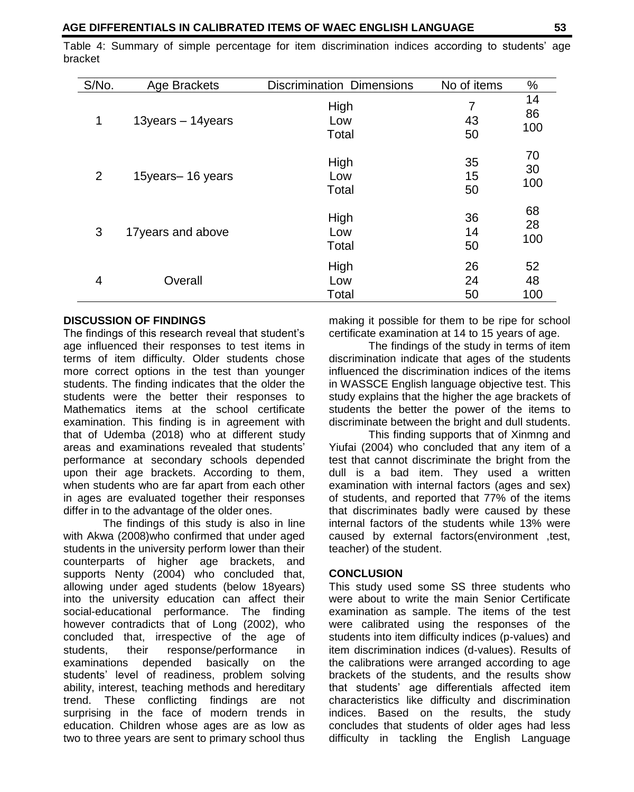Table 4: Summary of simple percentage for item discrimination indices according to students" age bracket

| S/No. | Age Brackets      | <b>Discrimination Dimensions</b> | No of items    | $\%$            |
|-------|-------------------|----------------------------------|----------------|-----------------|
| 1     | 13years - 14years | High<br>Low<br>Total             | 7<br>43<br>50  | 14<br>86<br>100 |
| 2     | 15years-16 years  | High<br>Low<br>Total             | 35<br>15<br>50 | 70<br>30<br>100 |
| 3     | 17years and above | High<br>Low<br>Total             | 36<br>14<br>50 | 68<br>28<br>100 |
| 4     | Overall           | High<br>Low<br>Total             | 26<br>24<br>50 | 52<br>48<br>100 |

#### **DISCUSSION OF FINDINGS**

The findings of this research reveal that student"s age influenced their responses to test items in terms of item difficulty. Older students chose more correct options in the test than younger students. The finding indicates that the older the students were the better their responses to Mathematics items at the school certificate examination. This finding is in agreement with that of Udemba (2018) who at different study areas and examinations revealed that students" performance at secondary schools depended upon their age brackets. According to them, when students who are far apart from each other in ages are evaluated together their responses differ in to the advantage of the older ones.

The findings of this study is also in line with Akwa (2008)who confirmed that under aged students in the university perform lower than their counterparts of higher age brackets, and supports Nenty (2004) who concluded that, allowing under aged students (below 18years) into the university education can affect their social-educational performance. The finding however contradicts that of Long (2002), who concluded that, irrespective of the age of students, their response/performance in examinations depended basically on the students" level of readiness, problem solving ability, interest, teaching methods and hereditary trend. These conflicting findings are not surprising in the face of modern trends in education. Children whose ages are as low as two to three years are sent to primary school thus

making it possible for them to be ripe for school certificate examination at 14 to 15 years of age.

The findings of the study in terms of item discrimination indicate that ages of the students influenced the discrimination indices of the items in WASSCE English language objective test. This study explains that the higher the age brackets of students the better the power of the items to discriminate between the bright and dull students.

This finding supports that of Xinmng and Yiufai (2004) who concluded that any item of a test that cannot discriminate the bright from the dull is a bad item. They used a written examination with internal factors (ages and sex) of students, and reported that 77% of the items that discriminates badly were caused by these internal factors of the students while 13% were caused by external factors(environment ,test, teacher) of the student.

#### **CONCLUSION**

This study used some SS three students who were about to write the main Senior Certificate examination as sample. The items of the test were calibrated using the responses of the students into item difficulty indices (p-values) and item discrimination indices (d-values). Results of the calibrations were arranged according to age brackets of the students, and the results show that students" age differentials affected item characteristics like difficulty and discrimination indices. Based on the results, the study concludes that students of older ages had less difficulty in tackling the English Language